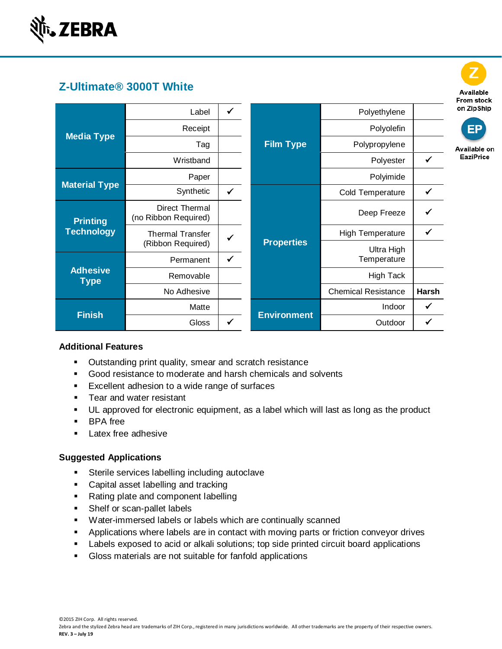

# **Z-Ultimate® 3000T White**

| <b>Media Type</b>                    | Label                                        | ✓            |                    | Polyethylene               |              |
|--------------------------------------|----------------------------------------------|--------------|--------------------|----------------------------|--------------|
|                                      | Receipt                                      |              |                    | Polyolefin                 |              |
|                                      | Tag                                          |              | <b>Film Type</b>   | Polypropylene              |              |
|                                      | Wristband                                    |              |                    | Polyester                  | ✔            |
|                                      | Paper                                        |              |                    | Polyimide                  |              |
| <b>Material Type</b>                 | Synthetic                                    | $\checkmark$ |                    | Cold Temperature           | $\checkmark$ |
| <b>Printing</b><br><b>Technology</b> | Direct Thermal<br>(no Ribbon Required)       |              |                    | Deep Freeze                | ✔            |
|                                      | <b>Thermal Transfer</b><br>(Ribbon Required) | ✓            | <b>Properties</b>  | <b>High Temperature</b>    | ✔            |
|                                      | Permanent                                    | $\checkmark$ |                    | Ultra High<br>Temperature  |              |
| <b>Adhesive</b><br><b>Type</b>       | Removable                                    |              |                    | <b>High Tack</b>           |              |
|                                      | No Adhesive                                  |              |                    | <b>Chemical Resistance</b> | <b>Harsh</b> |
|                                      | Matte                                        |              |                    | Indoor                     | $\checkmark$ |
| <b>Finish</b>                        | <b>Gloss</b>                                 | √            | <b>Environment</b> | Outdoor                    | ✔            |

## **Additional Features**

- Outstanding print quality, smear and scratch resistance
- Good resistance to moderate and harsh chemicals and solvents
- Excellent adhesion to a wide range of surfaces
- Tear and water resistant
- UL approved for electronic equipment, as a label which will last as long as the product
- BPA free
- **EXELEX** free adhesive

## **Suggested Applications**

- **EXECTE:** Sterile services labelling including autoclave
- Capital asset labelling and tracking
- Rating plate and component labelling
- Shelf or scan-pallet labels
- Water-immersed labels or labels which are continually scanned
- **•** Applications where labels are in contact with moving parts or friction conveyor drives
- Labels exposed to acid or alkali solutions; top side printed circuit board applications
- Gloss materials are not suitable for fanfold applications



©2015 ZIH Corp. All rights reserved.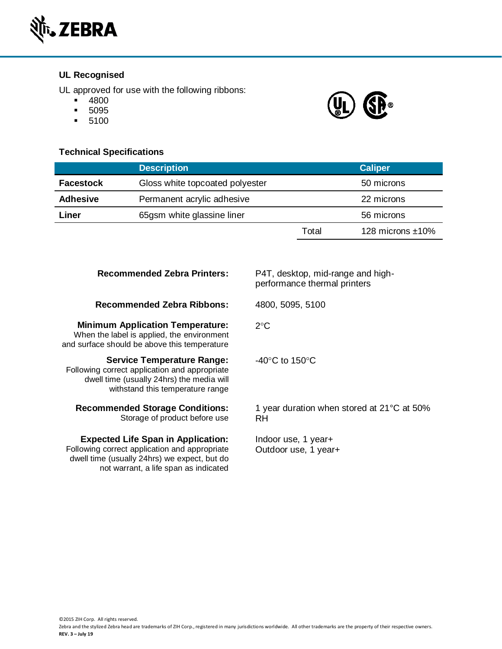

## **UL Recognised**

UL approved for use with the following ribbons:

not warrant, a life span as indicated

- 4800
- 5095
- 5100

## **Technical Specifications**

| <b>I CUILIIVAI OPEUIIVALIUIIS</b> |                                 |       |                     |
|-----------------------------------|---------------------------------|-------|---------------------|
|                                   | <b>Description</b>              |       | <b>Caliper</b>      |
| <b>Facestock</b>                  | Gloss white topcoated polyester |       | 50 microns          |
| <b>Adhesive</b>                   | Permanent acrylic adhesive      |       | 22 microns          |
| Liner                             | 65gsm white glassine liner      |       | 56 microns          |
|                                   |                                 | Total | 128 microns $±10\%$ |

| <b>Recommended Zebra Printers:</b>                                                                                                                                  | P4T, desktop, mid-range and high-<br>performance thermal printers |
|---------------------------------------------------------------------------------------------------------------------------------------------------------------------|-------------------------------------------------------------------|
| <b>Recommended Zebra Ribbons:</b>                                                                                                                                   | 4800, 5095, 5100                                                  |
| <b>Minimum Application Temperature:</b><br>When the label is applied, the environment<br>and surface should be above this temperature                               | $2^{\circ}$ C                                                     |
| <b>Service Temperature Range:</b><br>Following correct application and appropriate<br>dwell time (usually 24hrs) the media will<br>withstand this temperature range | $-40^{\circ}$ C to 150 $^{\circ}$ C                               |
| <b>Recommended Storage Conditions:</b><br>Storage of product before use                                                                                             | 1 year duration when stored at 21 °C at 50%<br>RH.                |
| <b>Expected Life Span in Application:</b><br>Following correct application and appropriate<br>dwell time (usually 24hrs) we expect, but do                          | Indoor use, 1 year+<br>Outdoor use, 1 year+                       |

©2015 ZIH Corp. All rights reserved.